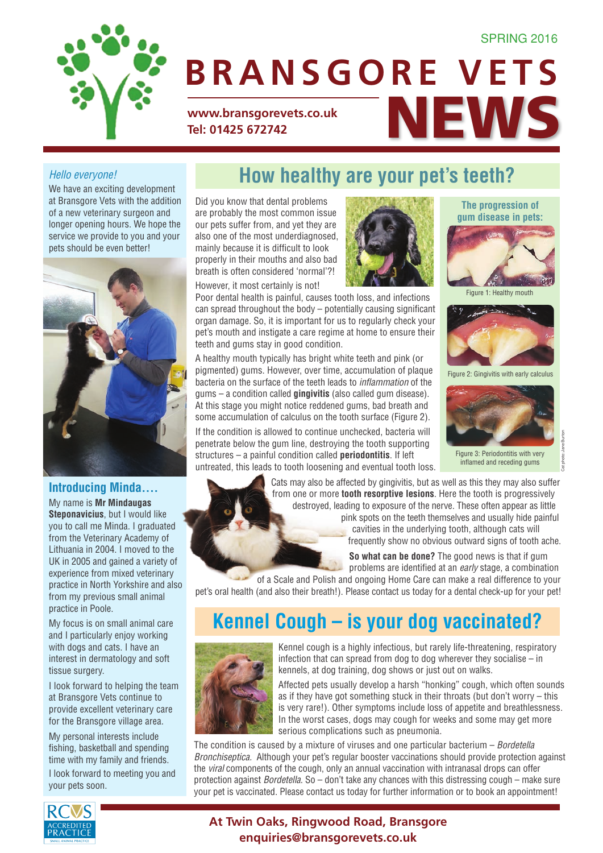

# **www.bransgorevets.co.uk**<br>Tel: 01425 672742 **Tel: 01425 672742 BRANSGORE VETS**

#### *Hello everyone!*

We have an exciting development at Bransgore Vets with the addition of a new veterinary surgeon and longer opening hours. We hope the service we provide to you and your pets should be even better!



#### **Introducing Minda....**

My name is **Mr Mindaugas Steponavicius**, but I would like you to call me Minda. I graduated from the Veterinary Academy of Lithuania in 2004. I moved to the UK in 2005 and gained a variety of experience from mixed veterinary practice in North Yorkshire and also from my previous small animal practice in Poole.

My focus is on small animal care and I particularly enjoy working with dogs and cats. I have an interest in dermatology and soft tissue surgery.

I look forward to helping the team at Bransgore Vets continue to provide excellent veterinary care for the Bransgore village area.

My personal interests include fishing, basketball and spending time with my family and friends. I look forward to meeting you and your pets soon.

### **How healthy are your pet's teeth?**

Did you know that dental problems are probably the most common issue our pets suffer from, and yet they are also one of the most underdiagnosed, mainly because it is difficult to look properly in their mouths and also bad breath is often considered 'normal'?!

However, it most certainly is not!

Poor dental health is painful, causes tooth loss, and infections can spread throughout the body – potentially causing significant organ damage. So, it is important for us to regularly check your pet's mouth and instigate a care regime at home to ensure their teeth and gums stay in good condition.

A healthy mouth typically has bright white teeth and pink (or pigmented) gums. However, over time, accumulation of plaque bacteria on the surface of the teeth leads to *inflammation* of the gums – a condition called **gingivitis** (also called gum disease). At this stage you might notice reddened gums, bad breath and some accumulation of calculus on the tooth surface (Figure 2).

If the condition is allowed to continue unchecked, bacteria will penetrate below the gum line, destroying the tooth supporting structures – a painful condition called **periodontitis**. If left untreated, this leads to tooth loosening and eventual tooth loss.



**The progression of gum disease in pets:**



Figure 1: Healthy mouth



Figure 2: Gingivitis with early calculus



Figure 3: Periodontitis with very inflamed and receding gums

Cat photo: Jane Burton

Cats may also be affected by gingivitis, but as well as this they may also suffer from one or more **tooth resorptive lesions**. Here the tooth is progressively destroyed, leading to exposure of the nerve. These often appear as little pink spots on the teeth themselves and usually hide painful cavities in the underlying tooth, although cats will frequently show no obvious outward signs of tooth ache.

> **So what can be done?** The good news is that if gum problems are identified at an *early* stage, a combination

of a Scale and Polish and ongoing Home Care can make a real difference to your pet's oral health (and also their breath!). Please contact us today for a dental check-up for your pet!

## **Kennel Cough – is your dog vaccinated?**



Kennel cough is a highly infectious, but rarely life-threatening, respiratory infection that can spread from dog to dog wherever they socialise – in kennels, at dog training, dog shows or just out on walks.

Affected pets usually develop a harsh "honking" cough, which often sounds as if they have got something stuck in their throats (but don't worry – this is very rare!). Other symptoms include loss of appetite and breathlessness. In the worst cases, dogs may cough for weeks and some may get more serious complications such as pneumonia.

The condition is caused by a mixture of viruses and one particular bacterium – *Bordetella Bronchiseptica.* Although your pet's regular booster vaccinations should provide protection against the *viral* components of the cough, only an annual vaccination with intranasal drops can offer protection against *Bordetella*. So – don't take any chances with this distressing cough – make sure your pet is vaccinated. Please contact us today for further information or to book an appointment!



#### **At Twin Oaks, Ringwood Road, Bransgore enquiries@bransgorevets.co.uk**